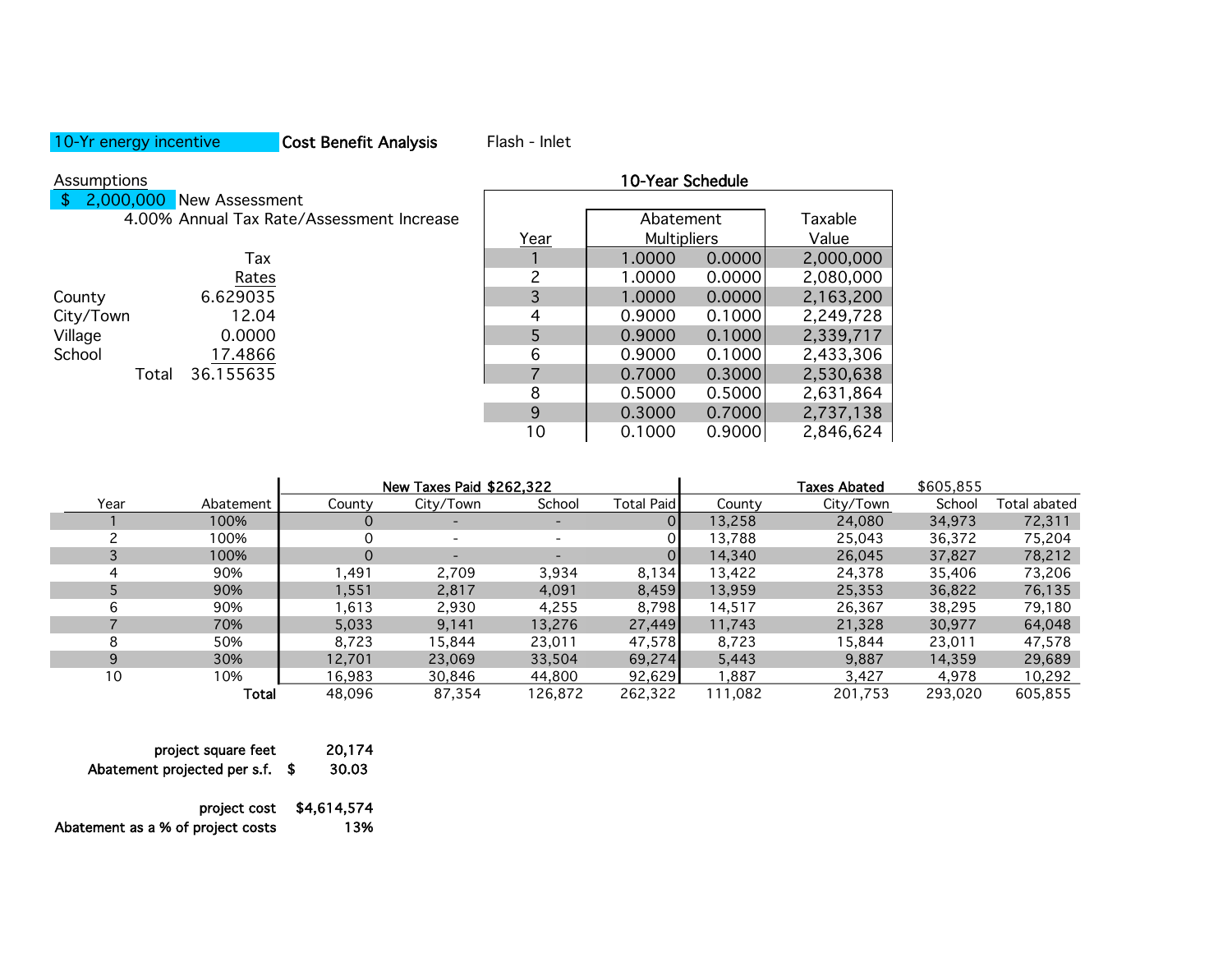## 10-Yr energy incentive **Cost Benefit Analysis** Flash - Inlet

|  | $\frac{1}{2}$ , 2,000,000 New Assessment  |
|--|-------------------------------------------|
|  | 4.00% Annual Tax Rate/Assessment Increase |
|  |                                           |

|       | Tax       |
|-------|-----------|
|       | Rates     |
|       | 6.629035  |
|       | 12.04     |
|       | 0.0000    |
|       | 17.4866   |
| Total | 36.155635 |
|       |           |

| Assumptions                               | 10-Year Schedule |                    |        |           |  |
|-------------------------------------------|------------------|--------------------|--------|-----------|--|
| \$<br>2,000,000 New Assessment            |                  |                    |        |           |  |
| 4.00% Annual Tax Rate/Assessment Increase |                  | Abatement          |        | Taxable   |  |
|                                           | Year             | <b>Multipliers</b> |        | Value     |  |
| Tax                                       |                  | 1.0000             | 0.0000 | 2,000,000 |  |
| Rates                                     | າ                | 1.0000             | 0.0000 | 2,080,000 |  |
| 6.629035<br>County                        | 3                | 1.0000             | 0.0000 | 2,163,200 |  |
| City/Town<br>12.04                        | 4                | 0.9000             | 0.1000 | 2,249,728 |  |
| Village<br>0.0000                         | 5                | 0.9000             | 0.1000 | 2,339,717 |  |
| School<br>17.4866                         | 6                | 0.9000             | 0.1000 | 2,433,306 |  |
| 36.155635<br>Total                        |                  | 0.7000             | 0.3000 | 2,530,638 |  |
|                                           | 8                | 0.5000             | 0.5000 | 2,631,864 |  |
|                                           | 9                | 0.3000             | 0.7000 | 2,737,138 |  |
|                                           | 10               | 0.1000             | 0.9000 | 2,846,624 |  |

|      |           |        | New Taxes Paid \$262.322 |         |            |         | <b>Taxes Abated</b> | \$605.855 |              |
|------|-----------|--------|--------------------------|---------|------------|---------|---------------------|-----------|--------------|
| Year | Abatement | County | City/Town                | School  | Total Paid | County  | City/Town           | School    | Total abated |
|      | 100%      | O      |                          |         |            | 13,258  | 24,080              | 34,973    | 72,311       |
|      | 100%      | Ω      |                          |         |            | 13,788  | 25,043              | 36,372    | 75,204       |
|      | 100%      | 0      | $\overline{\phantom{0}}$ |         |            | 14,340  | 26,045              | 37,827    | 78,212       |
| 4    | 90%       | ,491   | 2,709                    | 3,934   | 8,134      | 13,422  | 24,378              | 35,406    | 73,206       |
|      | 90%       | 1,551  | 2,817                    | 4,091   | 8,459      | 13,959  | 25,353              | 36,822    | 76,135       |
| 6    | 90%       | 1,613  | 2,930                    | 4,255   | 8,798      | 14,517  | 26,367              | 38,295    | 79,180       |
|      | 70%       | 5,033  | 9,141                    | 13,276  | 27,449     | 11,743  | 21,328              | 30,977    | 64,048       |
| 8    | 50%       | 8,723  | 15,844                   | 23,011  | 47,578     | 8,723   | 15,844              | 23,011    | 47,578       |
| 9    | 30%       | 12.701 | 23.069                   | 33,504  | 69,274     | 5,443   | 9.887               | 14,359    | 29,689       |
| 10   | 10%       | 16.983 | 30.846                   | 44.800  | 92,629     | .887    | 3.427               | 4.978     | 10,292       |
|      | Total     | 48.096 | 87.354                   | 126,872 | 262,322    | 111,082 | 201,753             | 293.020   | 605,855      |

| project square feet          |      | 20.174 |
|------------------------------|------|--------|
| Abatement projected per s.f. | - 56 | 30.03  |
|                              |      |        |

project cost \$4,614,574

Abatement as a % of project costs 13%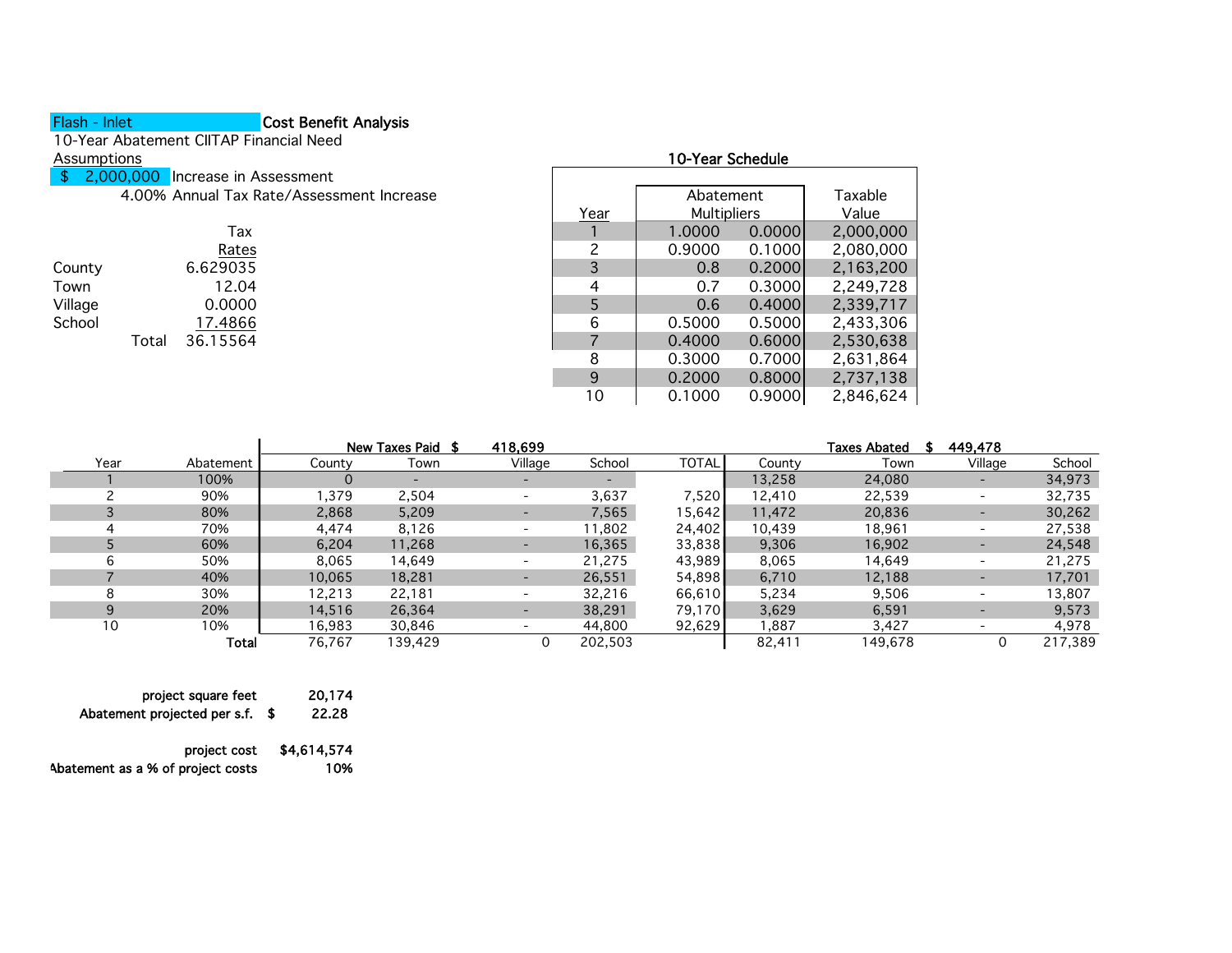## Flash - Inlet **Cost Benefit Analysis**

10-Year Abatement CIITAP Financial Need

- \$ 2,000,000 Increase in Assessment
	- 4.00% Annual Tax Rate/Assessment Increase

|         |       | Tax      |
|---------|-------|----------|
|         |       | Rates    |
| County  |       | 6.629035 |
| Town    |       | 12.04    |
| Village |       | 0.0000   |
| School  |       | 17.4866  |
|         | Total | 36.15564 |

| Assumptions |           |                                           |      | 10-Year Schedule   |        |           |
|-------------|-----------|-------------------------------------------|------|--------------------|--------|-----------|
| S.          | 2,000,000 | Increase in Assessment                    |      |                    |        |           |
|             |           | 4.00% Annual Tax Rate/Assessment Increase |      | Abatement          |        | Taxable   |
|             |           |                                           | Year | <b>Multipliers</b> |        | Value     |
|             |           | Tax                                       |      | 1.0000             | 0.0000 | 2,000,000 |
|             |           | Rates                                     |      | 0.9000             | 0.1000 | 2,080,000 |
| County      |           | 6.629035                                  | 3    | 0.8                | 0.2000 | 2,163,200 |
| Town        |           | 12.04                                     | 4    | 0.7                | 0.3000 | 2,249,728 |
| Village     |           | 0.0000                                    |      | 0.6                | 0.4000 | 2,339,717 |
| School      |           | 17.4866                                   | 6    | 0.5000             | 0.5000 | 2,433,306 |
|             | Total     | 36.15564                                  |      | 0.4000             | 0.6000 | 2,530,638 |
|             |           |                                           | 8    | 0.3000             | 0.7000 | 2,631,864 |
|             |           |                                           | 9    | 0.2000             | 0.8000 | 2,737,138 |
|             |           |                                           | 10   | 0.1000             | 0.9000 | 2,846,624 |
|             |           |                                           |      |                    |        |           |

|      |           |        | New Taxes Paid \$ | 418,699 |         |                 |        | <b>Taxes Abated</b> | 449,478                  |         |
|------|-----------|--------|-------------------|---------|---------|-----------------|--------|---------------------|--------------------------|---------|
| Year | Abatement | County | Town              | Village | School  | <b>TOTAL</b>    | County | Town                | Village                  | School  |
|      | 100%      | U      |                   |         |         |                 | 13,258 | 24,080              |                          | 34,973  |
|      | 90%       | ,379   | 2,504             |         | 3,637   | 7,520           | 12,410 | 22,539              | $\overline{\phantom{0}}$ | 32,735  |
|      | 80%       | 2,868  | 5,209             |         | 7,565   | 15,6421         | 11,472 | 20,836              | -                        | 30,262  |
|      | 70%       | 4,474  | 8,126             |         | 11,802  | 24,402          | 10,439 | 18,961              | $\overline{\phantom{0}}$ | 27,538  |
|      | 60%       | 6,204  | 11,268            |         | 16,365  | 33,838          | 9,306  | 16,902              | -                        | 24,548  |
| 6    | 50%       | 8,065  | 14.649            |         | 21,275  | 43,989          | 8,065  | 14,649              | $\overline{\phantom{0}}$ | 21,275  |
|      | 40%       | 10,065 | 18,281            |         | 26,551  | 54,898          | 6,710  | 12,188              |                          | 17,701  |
| я    | 30%       | 12.213 | 22.181            |         | 32,216  | 66,610          | 5,234  | 9,506               | $\overline{\phantom{0}}$ | 13,807  |
| 9    | 20%       | 14,516 | 26,364            |         | 38,291  | 79.170 <b>I</b> | 3,629  | 6,591               |                          | 9,573   |
| 10   | 10%       | 16,983 | 30,846            |         | 44,800  | 92,629          | 887, ا | 3,427               | $\overline{\phantom{0}}$ | 4,978   |
|      | Total     | 76.767 | 139.429           | 0       | 202,503 |                 | 82,411 | 149,678             |                          | 217,389 |

| project square feet               |      | 20,174      |
|-----------------------------------|------|-------------|
| Abatement projected per s.f.      | - SS | 22.28       |
| project cost                      |      | \$4,614,574 |
| Abatement as a % of project costs |      | 10%         |